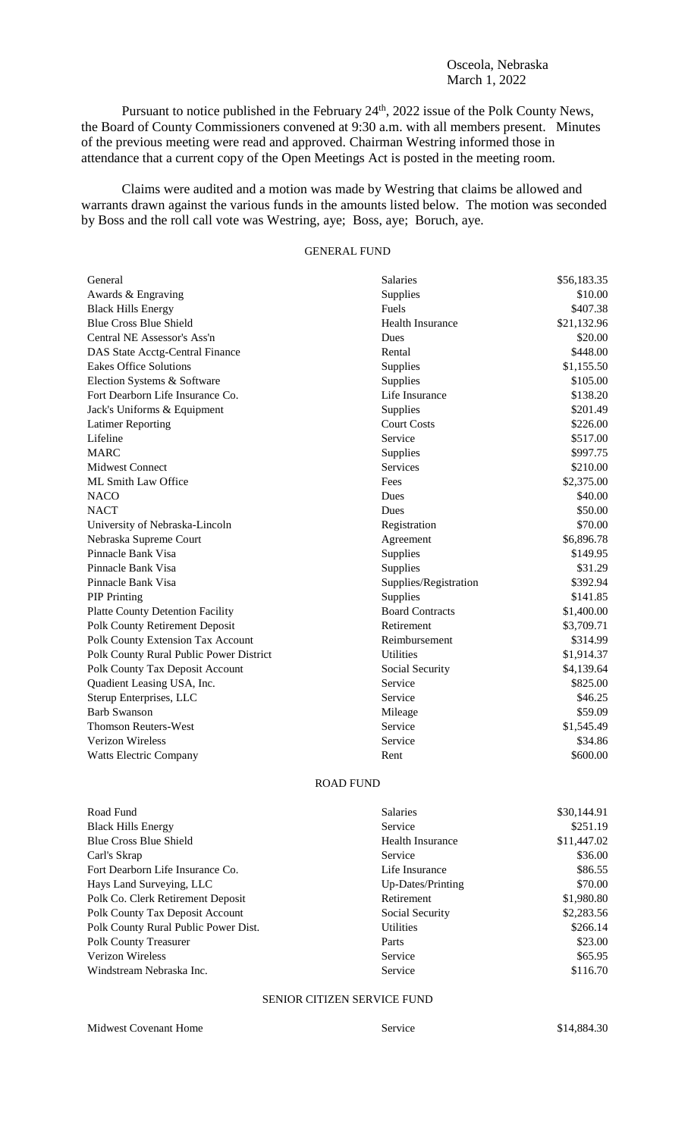### Osceola, Nebraska March 1, 2022

Pursuant to notice published in the February 24<sup>th</sup>, 2022 issue of the Polk County News, the Board of County Commissioners convened at 9:30 a.m. with all members present. Minutes of the previous meeting were read and approved. Chairman Westring informed those in attendance that a current copy of the Open Meetings Act is posted in the meeting room.

Claims were audited and a motion was made by Westring that claims be allowed and warrants drawn against the various funds in the amounts listed below. The motion was seconded by Boss and the roll call vote was Westring, aye; Boss, aye; Boruch, aye.

# GENERAL FUND

| General                                 | <b>Salaries</b>         | \$56,183.35 |
|-----------------------------------------|-------------------------|-------------|
| Awards & Engraving                      | Supplies                | \$10.00     |
| <b>Black Hills Energy</b>               | Fuels                   | \$407.38    |
| <b>Blue Cross Blue Shield</b>           | <b>Health Insurance</b> | \$21,132.96 |
| Central NE Assessor's Ass'n             | Dues                    | \$20.00     |
| DAS State Acctg-Central Finance         | Rental                  | \$448.00    |
| <b>Eakes Office Solutions</b>           | Supplies                | \$1,155.50  |
| Election Systems & Software             | Supplies                | \$105.00    |
| Fort Dearborn Life Insurance Co.        | Life Insurance          | \$138.20    |
| Jack's Uniforms & Equipment             | Supplies                | \$201.49    |
| <b>Latimer Reporting</b>                | <b>Court Costs</b>      | \$226.00    |
| Lifeline                                | Service                 | \$517.00    |
| <b>MARC</b>                             | Supplies                | \$997.75    |
| <b>Midwest Connect</b>                  | <b>Services</b>         | \$210.00    |
| ML Smith Law Office                     | Fees                    | \$2,375.00  |
| <b>NACO</b>                             | <b>Dues</b>             | \$40.00     |
| <b>NACT</b>                             | Dues                    | \$50.00     |
| University of Nebraska-Lincoln          | Registration            | \$70.00     |
| Nebraska Supreme Court                  | Agreement               | \$6,896.78  |
| Pinnacle Bank Visa                      | Supplies                | \$149.95    |
| Pinnacle Bank Visa                      | Supplies                | \$31.29     |
| Pinnacle Bank Visa                      | Supplies/Registration   | \$392.94    |
| <b>PIP</b> Printing                     | Supplies                | \$141.85    |
| <b>Platte County Detention Facility</b> | <b>Board Contracts</b>  | \$1,400.00  |
| <b>Polk County Retirement Deposit</b>   | Retirement              | \$3,709.71  |
| Polk County Extension Tax Account       | Reimbursement           | \$314.99    |
| Polk County Rural Public Power District | <b>Utilities</b>        | \$1,914.37  |
| Polk County Tax Deposit Account         | Social Security         | \$4,139.64  |
| Quadient Leasing USA, Inc.              | Service                 | \$825.00    |
| Sterup Enterprises, LLC                 | Service                 | \$46.25     |
| <b>Barb Swanson</b>                     | Mileage                 | \$59.09     |
| <b>Thomson Reuters-West</b>             | Service                 | \$1,545.49  |
| <b>Verizon Wireless</b>                 | Service                 | \$34.86     |
| <b>Watts Electric Company</b>           | Rent                    | \$600.00    |

### ROAD FUND

| Road Fund                            | <b>Salaries</b>         | \$30,144.91 |
|--------------------------------------|-------------------------|-------------|
| <b>Black Hills Energy</b>            | Service                 | \$251.19    |
| Blue Cross Blue Shield               | <b>Health Insurance</b> | \$11,447.02 |
| Carl's Skrap                         | Service                 | \$36.00     |
| Fort Dearborn Life Insurance Co.     | Life Insurance          | \$86.55     |
| Hays Land Surveying, LLC             | Up-Dates/Printing       | \$70.00     |
| Polk Co. Clerk Retirement Deposit    | Retirement              | \$1,980.80  |
| Polk County Tax Deposit Account      | Social Security         | \$2,283.56  |
| Polk County Rural Public Power Dist. | <b>Utilities</b>        | \$266.14    |
| <b>Polk County Treasurer</b>         | Parts                   | \$23.00     |
| Verizon Wireless                     | Service                 | \$65.95     |
| Windstream Nebraska Inc.             | Service                 | \$116.70    |

## SENIOR CITIZEN SERVICE FUND